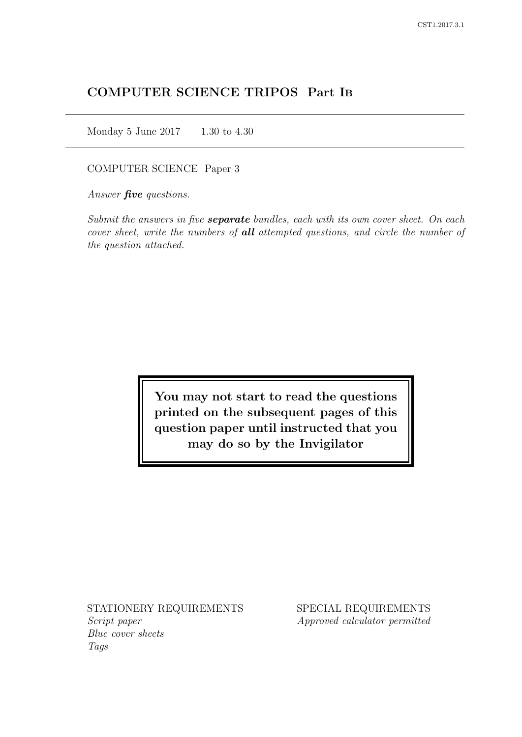# COMPUTER SCIENCE TRIPOS Part IB

Monday 5 June 2017 1.30 to 4.30

COMPUTER SCIENCE Paper 3

Answer *five* questions.

Submit the answers in five **separate** bundles, each with its own cover sheet. On each cover sheet, write the numbers of **all** attempted questions, and circle the number of the question attached.

> You may not start to read the questions printed on the subsequent pages of this question paper until instructed that you may do so by the Invigilator

STATIONERY REQUIREMENTS Script paper Blue cover sheets

Tags

SPECIAL REQUIREMENTS Approved calculator permitted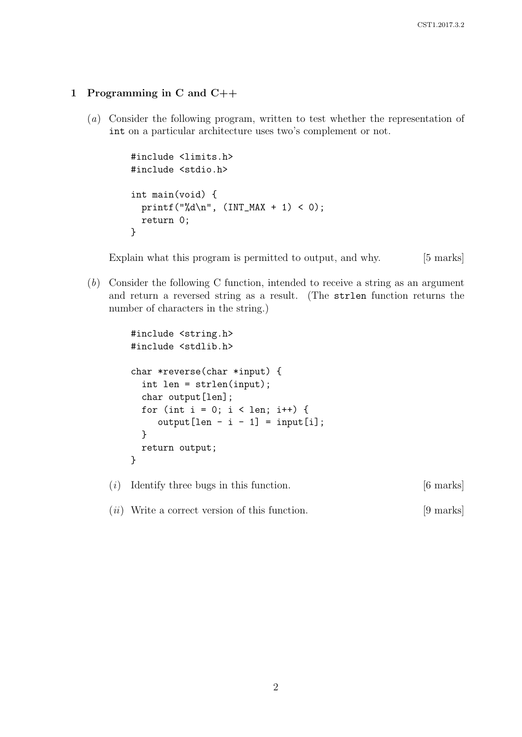### 1 Programming in C and C++

(a) Consider the following program, written to test whether the representation of int on a particular architecture uses two's complement or not.

```
#include <limits.h>
#include <stdio.h>
int main(void) {
  printf("%d\n", (INT_MAX + 1) < 0);
  return 0;
}
```
Explain what this program is permitted to output, and why. [5 marks]

(b) Consider the following C function, intended to receive a string as an argument and return a reversed string as a result. (The strlen function returns the number of characters in the string.)

```
#include <string.h>
#include <stdlib.h>
char *reverse(char *input) {
  int len = strlen(input);
  char output [len];
  for (int i = 0; i < len; i++) {
     output[len - i - 1] = input[i];}
  return output;
}
```
 $(i)$  Identify three bugs in this function. [6 marks]

(*ii*) Write a correct version of this function. [9 marks]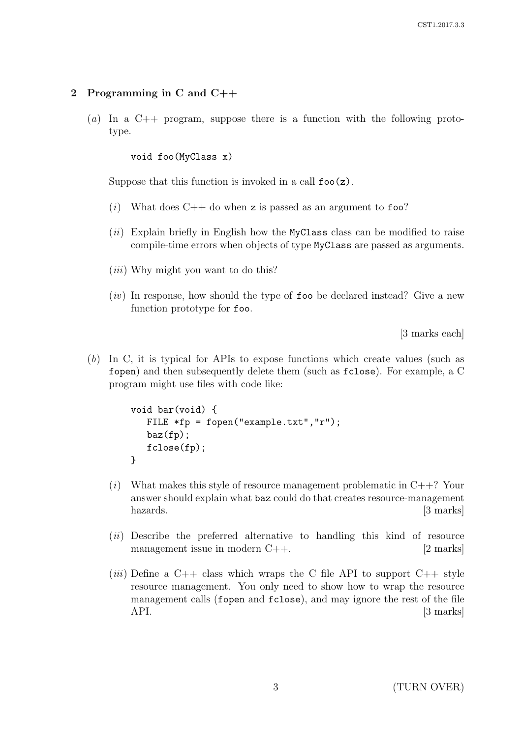### 2 Programming in C and C++

(a) In a  $C_{++}$  program, suppose there is a function with the following prototype.

void foo(MyClass x)

Suppose that this function is invoked in a call  $foo(z)$ .

- (i) What does  $C++$  do when z is passed as an argument to foo?
- $(ii)$  Explain briefly in English how the MyClass class can be modified to raise compile-time errors when objects of type MyClass are passed as arguments.
- $(iii)$  Why might you want to do this?
- $(iv)$  In response, how should the type of foo be declared instead? Give a new function prototype for foo.

[3 marks each]

(b) In C, it is typical for APIs to expose functions which create values (such as fopen) and then subsequently delete them (such as fclose). For example, a C program might use files with code like:

```
void bar(void) {
   FILE *fp = fopen("example.txt", "r");
   baz(fp);
   fclose(fp);
}
```
- $(i)$  What makes this style of resource management problematic in  $C++$ ? Your answer should explain what baz could do that creates resource-management hazards. [3 marks]
- (ii) Describe the preferred alternative to handling this kind of resource management issue in modern C++. [2 marks]
- (*iii*) Define a C++ class which wraps the C file API to support C++ style resource management. You only need to show how to wrap the resource management calls (fopen and fclose), and may ignore the rest of the file API. [3 marks]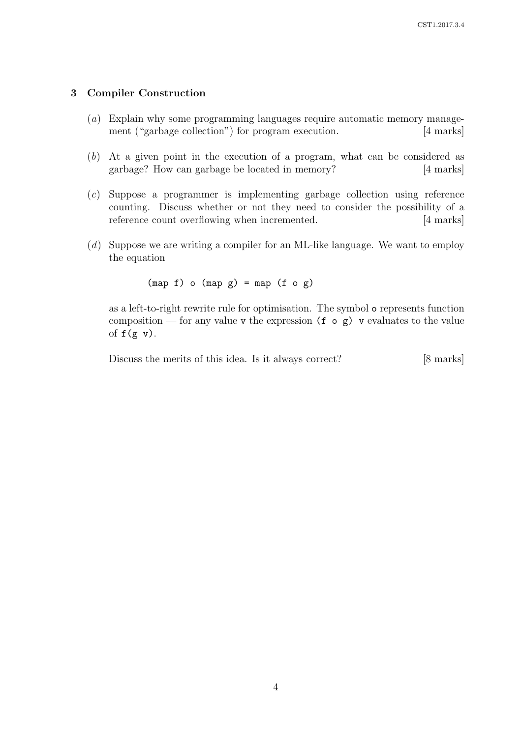#### 3 Compiler Construction

- (a) Explain why some programming languages require automatic memory management ("garbage collection") for program execution. [4 marks]
- (b) At a given point in the execution of a program, what can be considered as garbage? How can garbage be located in memory? [4 marks]
- (c) Suppose a programmer is implementing garbage collection using reference counting. Discuss whether or not they need to consider the possibility of a reference count overflowing when incremented. [4 marks]
- (d) Suppose we are writing a compiler for an ML-like language. We want to employ the equation

 $(\text{map } f)$  o  $(\text{map } g) = \text{map } (f \circ g)$ 

as a left-to-right rewrite rule for optimisation. The symbol o represents function composition — for any value v the expression  $(f \circ g)$  v evaluates to the value of  $f(g \, v)$ .

Discuss the merits of this idea. Is it always correct? [8 marks]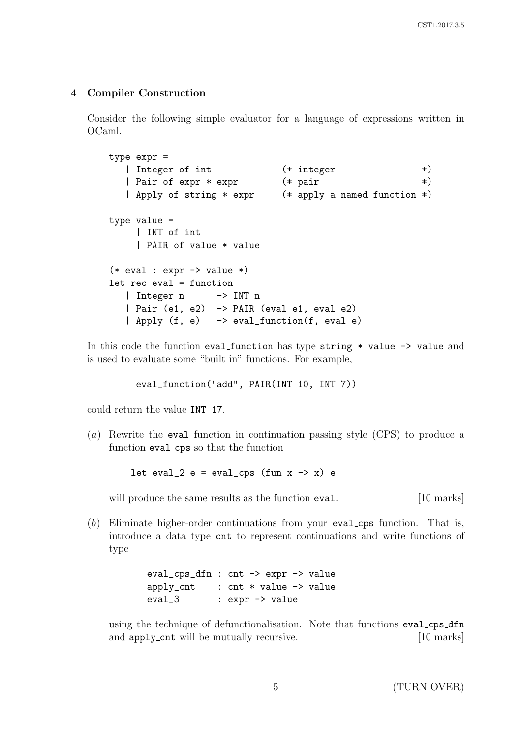### 4 Compiler Construction

Consider the following simple evaluator for a language of expressions written in OCaml.

```
type expr =
  | Integer of int (* integer *)
  | Pair of expr * expr (*) pair *)
  | Apply of string * expr (* apply a named function *)
type value =
    | INT of int
    | PAIR of value * value
(* eval : expr \rightarrow value *)let rec eval = function
  | Integer n -> INT n
  | Pair (e1, e2) -> PAIR (eval e1, eval e2)
  | Apply (f, e) -> eval_function(f, eval e)
```
In this code the function eval function has type string \* value -> value and is used to evaluate some "built in" functions. For example,

eval\_function("add", PAIR(INT 10, INT 7))

could return the value INT 17.

(a) Rewrite the eval function in continuation passing style (CPS) to produce a function eval cps so that the function

let eval\_2 e = eval\_cps (fun  $x \rightarrow x$ ) e

will produce the same results as the function eval. [10 marks]

(b) Eliminate higher-order continuations from your eval cps function. That is, introduce a data type cnt to represent continuations and write functions of type

> eval\_cps\_dfn : cnt -> expr -> value apply\_cnt : cnt \* value -> value eval\_3 : expr -> value

using the technique of defunctionalisation. Note that functions eval\_cps\_dfn and apply\_cnt will be mutually recursive. [10 marks]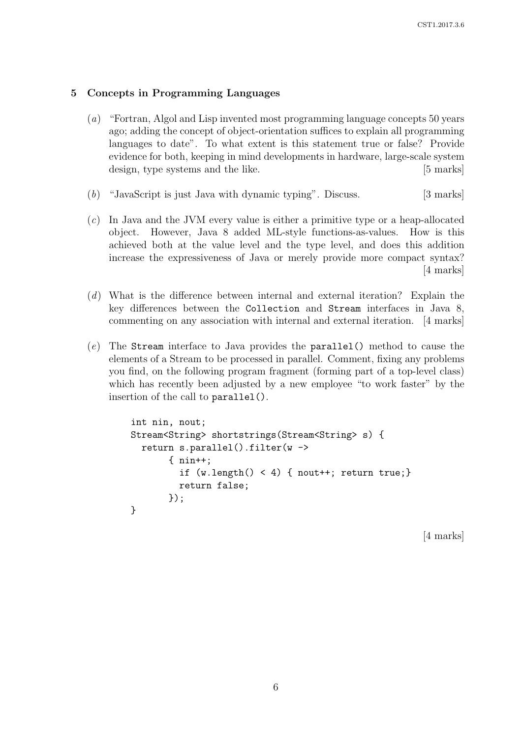### 5 Concepts in Programming Languages

- (a) "Fortran, Algol and Lisp invented most programming language concepts 50 years ago; adding the concept of object-orientation suffices to explain all programming languages to date". To what extent is this statement true or false? Provide evidence for both, keeping in mind developments in hardware, large-scale system design, type systems and the like. [5 marks]
- (b) "JavaScript is just Java with dynamic typing". Discuss. [3 marks]
- (c) In Java and the JVM every value is either a primitive type or a heap-allocated object. However, Java 8 added ML-style functions-as-values. How is this achieved both at the value level and the type level, and does this addition increase the expressiveness of Java or merely provide more compact syntax? [4 marks]
- (d) What is the difference between internal and external iteration? Explain the key differences between the Collection and Stream interfaces in Java 8, commenting on any association with internal and external iteration. [4 marks]
- (e) The Stream interface to Java provides the parallel() method to cause the elements of a Stream to be processed in parallel. Comment, fixing any problems you find, on the following program fragment (forming part of a top-level class) which has recently been adjusted by a new employee "to work faster" by the insertion of the call to parallel().

```
int nin, nout;
Stream<String> shortstrings(Stream<String> s) {
  return s.parallel().filter(w ->
       { nin++;
         if (w.length() < 4) { nout++; return true; }
         return false;
       });
}
```
[4 marks]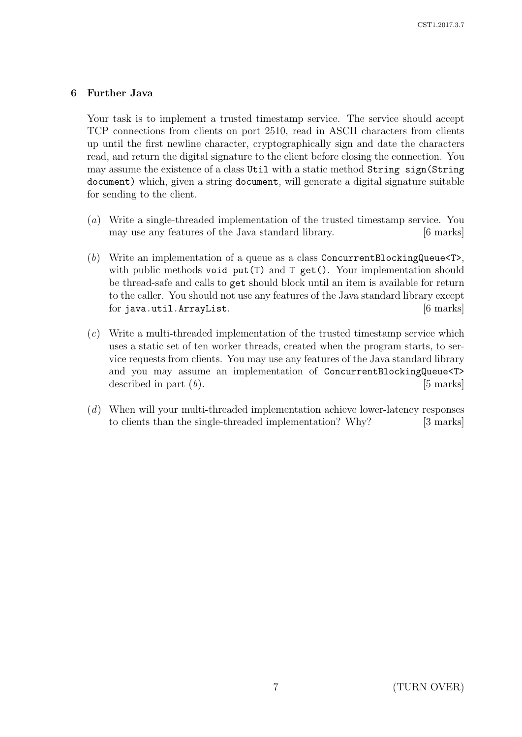### 6 Further Java

Your task is to implement a trusted timestamp service. The service should accept TCP connections from clients on port 2510, read in ASCII characters from clients up until the first newline character, cryptographically sign and date the characters read, and return the digital signature to the client before closing the connection. You may assume the existence of a class Util with a static method String sign(String document) which, given a string document, will generate a digital signature suitable for sending to the client.

- (a) Write a single-threaded implementation of the trusted timestamp service. You may use any features of the Java standard library. [6 marks]
- (b) Write an implementation of a queue as a class ConcurrentBlockingQueue $\langle T \rangle$ , with public methods void put(T) and T get(). Your implementation should be thread-safe and calls to get should block until an item is available for return to the caller. You should not use any features of the Java standard library except for java.util.ArrayList. [6 marks]
- (c) Write a multi-threaded implementation of the trusted timestamp service which uses a static set of ten worker threads, created when the program starts, to service requests from clients. You may use any features of the Java standard library and you may assume an implementation of ConcurrentBlockingQueue<T> described in part  $(b)$ . [5 marks]
- (d) When will your multi-threaded implementation achieve lower-latency responses to clients than the single-threaded implementation? Why? [3 marks]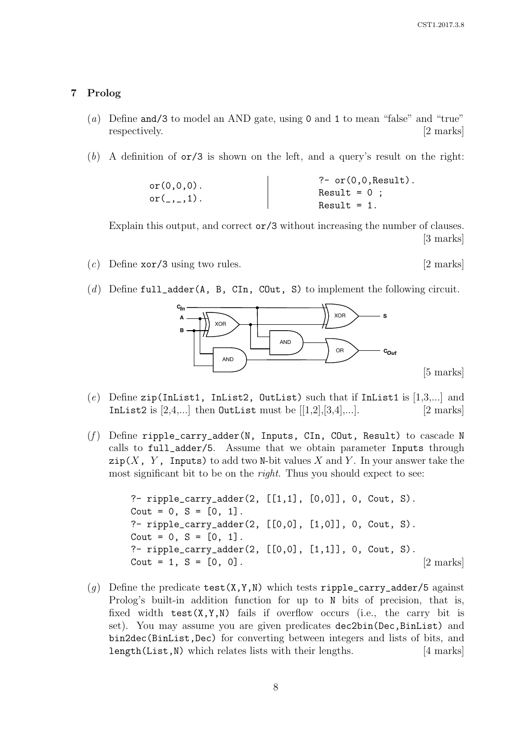[5 marks]

#### 7 Prolog

- (a) Define and/3 to model an AND gate, using 0 and 1 to mean "false" and "true" respectively. [2 marks]
- (b) A definition of  $\sigma r/3$  is shown on the left, and a query's result on the right:

or 
$$
(0,0,0)
$$
.  
\nor  $(-,,-,1)$ .  
\n $\left.\begin{array}{c}\n 2-\text{or } (0,0,\text{Result}) \\
 \text{Result} = 0 \\
 \text{Result} = 1\n \end{array}\right.$ 

Explain this output, and correct or/3 without increasing the number of clauses. [3 marks]

- (c) Define  $\text{xor}/3$  using two rules. [2 marks]
- (d) Define full\_adder(A, B, CIn, COut, S) to implement the following circuit.



- (e) Define zip(InList1, InList2, OutList) such that if InList1 is  $[1,3,...]$  and In List 2 is  $[2, 4,...]$  then OutList must be  $[[1,2],[3,4],...]$ . [2 marks]
- (f) Define ripple\_carry\_adder(N, Inputs, CIn, COut, Result) to cascade N calls to full\_adder/5. Assume that we obtain parameter Inputs through  $\text{zip}(X, Y, \text{InputStream})$  to add two N-bit values X and Y. In your answer take the most significant bit to be on the *right*. Thus you should expect to see:

```
?- ripple_carry_adder(2, [[1,1], [0,0]], 0, Cout, S).
Cout = 0, S = [0, 1].?- ripple_carry_adder(2, [[0,0], [1,0]], 0, Cout, S).
\text{Cout} = 0, S = [0, 1].?- ripple_carry_adder(2, [[0,0], [1,1]], 0, Cout, S).
\text{Cout} = 1, \, S = [0, 0]. [2 marks]
```
(g) Define the predicate test(X,Y,N) which tests ripple\_carry\_adder/5 against Prolog's built-in addition function for up to N bits of precision, that is, fixed width  $test(X, Y, N)$  fails if overflow occurs (i.e., the carry bit is set). You may assume you are given predicates dec2bin(Dec,BinList) and bin2dec(BinList,Dec) for converting between integers and lists of bits, and length(List,N) which relates lists with their lengths. [4 marks]